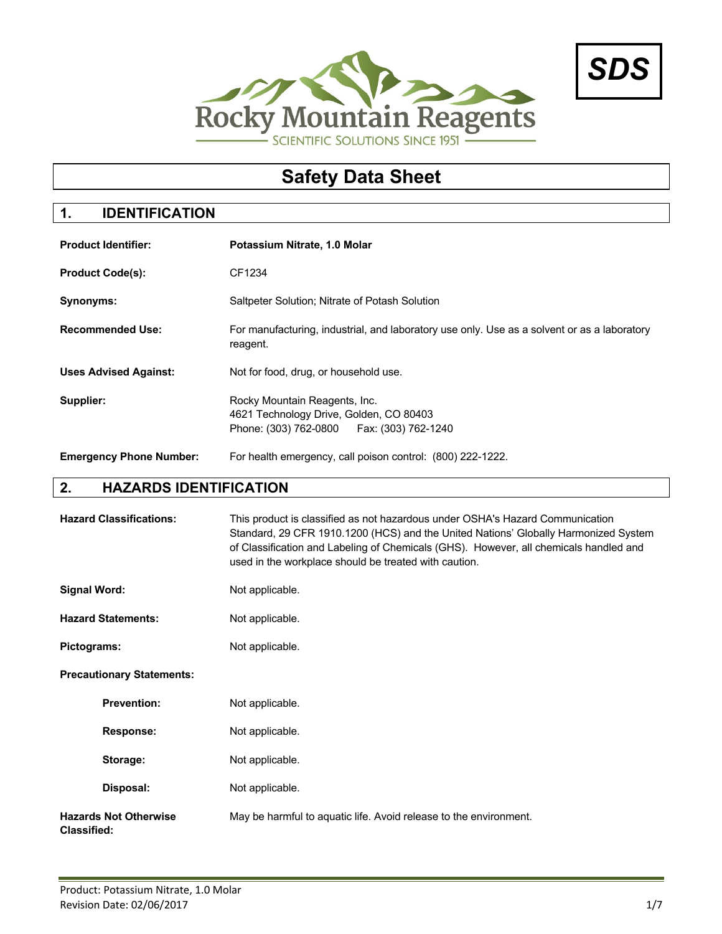



# **Safety Data Sheet**

# **1. IDENTIFICATION**

| <b>Product Identifier:</b>     | Potassium Nitrate, 1.0 Molar                                                                                            |
|--------------------------------|-------------------------------------------------------------------------------------------------------------------------|
| <b>Product Code(s):</b>        | CF1234                                                                                                                  |
| Synonyms:                      | Saltpeter Solution; Nitrate of Potash Solution                                                                          |
| <b>Recommended Use:</b>        | For manufacturing, industrial, and laboratory use only. Use as a solvent or as a laboratory<br>reagent.                 |
| <b>Uses Advised Against:</b>   | Not for food, drug, or household use.                                                                                   |
| Supplier:                      | Rocky Mountain Reagents, Inc.<br>4621 Technology Drive, Golden, CO 80403<br>Phone: (303) 762-0800   Fax: (303) 762-1240 |
| <b>Emergency Phone Number:</b> | For health emergency, call poison control: (800) 222-1222.                                                              |

# **2. HAZARDS IDENTIFICATION**

| <b>Hazard Classifications:</b>                     | This product is classified as not hazardous under OSHA's Hazard Communication<br>Standard, 29 CFR 1910.1200 (HCS) and the United Nations' Globally Harmonized System<br>of Classification and Labeling of Chemicals (GHS). However, all chemicals handled and<br>used in the workplace should be treated with caution. |
|----------------------------------------------------|------------------------------------------------------------------------------------------------------------------------------------------------------------------------------------------------------------------------------------------------------------------------------------------------------------------------|
| <b>Signal Word:</b>                                | Not applicable.                                                                                                                                                                                                                                                                                                        |
| <b>Hazard Statements:</b>                          | Not applicable.                                                                                                                                                                                                                                                                                                        |
| Pictograms:                                        | Not applicable.                                                                                                                                                                                                                                                                                                        |
| <b>Precautionary Statements:</b>                   |                                                                                                                                                                                                                                                                                                                        |
| <b>Prevention:</b>                                 | Not applicable.                                                                                                                                                                                                                                                                                                        |
| <b>Response:</b>                                   | Not applicable.                                                                                                                                                                                                                                                                                                        |
| Storage:                                           | Not applicable.                                                                                                                                                                                                                                                                                                        |
| Disposal:                                          | Not applicable.                                                                                                                                                                                                                                                                                                        |
| <b>Hazards Not Otherwise</b><br><b>Classified:</b> | May be harmful to aquatic life. Avoid release to the environment.                                                                                                                                                                                                                                                      |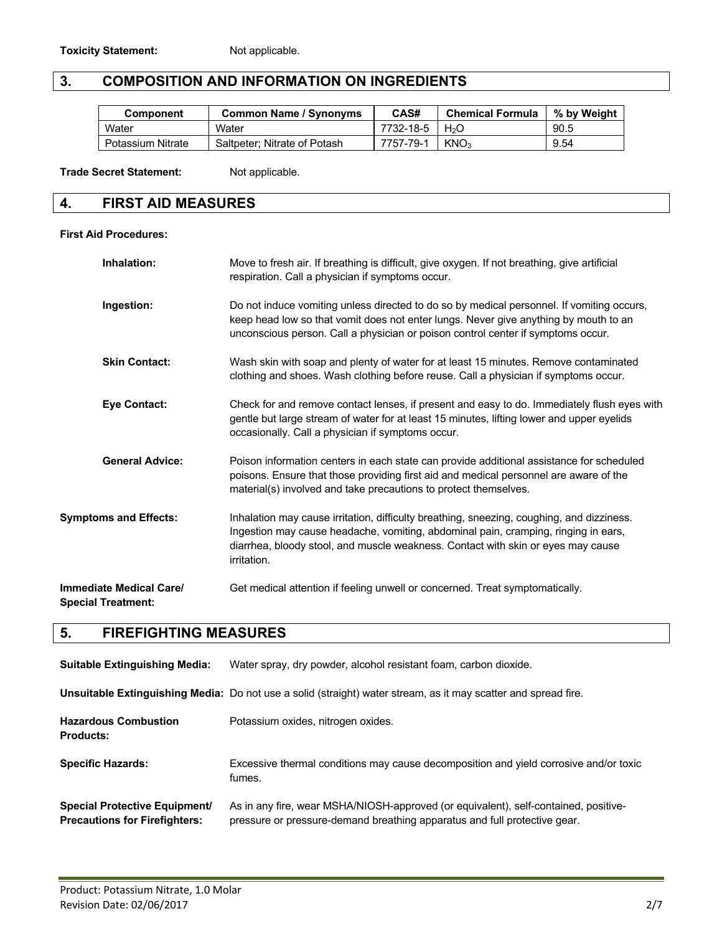# **3. COMPOSITION AND INFORMATION ON INGREDIENTS**

| <b>Component</b>  | <b>Common Name / Synonyms</b> | CAS#      | <b>Chemical Formula</b> | % by Weight |
|-------------------|-------------------------------|-----------|-------------------------|-------------|
| Water             | Water                         | 7732-18-5 | H <sub>2</sub> O        | 90.5        |
| Potassium Nitrate | Saltpeter: Nitrate of Potash  | 7757-79-1 | KNO <sub>3</sub>        | 9.54        |

Trade Secret Statement: Not applicable.

### **4. FIRST AID MEASURES**

#### **First Aid Procedures:**

| Inhalation:                                                 | Move to fresh air. If breathing is difficult, give oxygen. If not breathing, give artificial<br>respiration. Call a physician if symptoms occur.                                                                                                                                   |
|-------------------------------------------------------------|------------------------------------------------------------------------------------------------------------------------------------------------------------------------------------------------------------------------------------------------------------------------------------|
| Ingestion:                                                  | Do not induce vomiting unless directed to do so by medical personnel. If vomiting occurs,<br>keep head low so that vomit does not enter lungs. Never give anything by mouth to an<br>unconscious person. Call a physician or poison control center if symptoms occur.              |
| <b>Skin Contact:</b>                                        | Wash skin with soap and plenty of water for at least 15 minutes. Remove contaminated<br>clothing and shoes. Wash clothing before reuse. Call a physician if symptoms occur.                                                                                                        |
| <b>Eye Contact:</b>                                         | Check for and remove contact lenses, if present and easy to do. Immediately flush eyes with<br>gentle but large stream of water for at least 15 minutes, lifting lower and upper eyelids<br>occasionally. Call a physician if symptoms occur.                                      |
| <b>General Advice:</b>                                      | Poison information centers in each state can provide additional assistance for scheduled<br>poisons. Ensure that those providing first aid and medical personnel are aware of the<br>material(s) involved and take precautions to protect themselves.                              |
| <b>Symptoms and Effects:</b>                                | Inhalation may cause irritation, difficulty breathing, sneezing, coughing, and dizziness.<br>Ingestion may cause headache, vomiting, abdominal pain, cramping, ringing in ears,<br>diarrhea, bloody stool, and muscle weakness. Contact with skin or eyes may cause<br>irritation. |
| <b>Immediate Medical Care/</b><br><b>Special Treatment:</b> | Get medical attention if feeling unwell or concerned. Treat symptomatically.                                                                                                                                                                                                       |

# **5. FIREFIGHTING MEASURES**

| <b>Suitable Extinguishing Media:</b>                                         | Water spray, dry powder, alcohol resistant foam, carbon dioxide.                                                                                                 |
|------------------------------------------------------------------------------|------------------------------------------------------------------------------------------------------------------------------------------------------------------|
|                                                                              | Unsuitable Extinguishing Media: Do not use a solid (straight) water stream, as it may scatter and spread fire.                                                   |
| <b>Hazardous Combustion</b><br><b>Products:</b>                              | Potassium oxides, nitrogen oxides.                                                                                                                               |
| <b>Specific Hazards:</b>                                                     | Excessive thermal conditions may cause decomposition and yield corrosive and/or toxic<br>fumes.                                                                  |
| <b>Special Protective Equipment/</b><br><b>Precautions for Firefighters:</b> | As in any fire, wear MSHA/NIOSH-approved (or equivalent), self-contained, positive-<br>pressure or pressure-demand breathing apparatus and full protective gear. |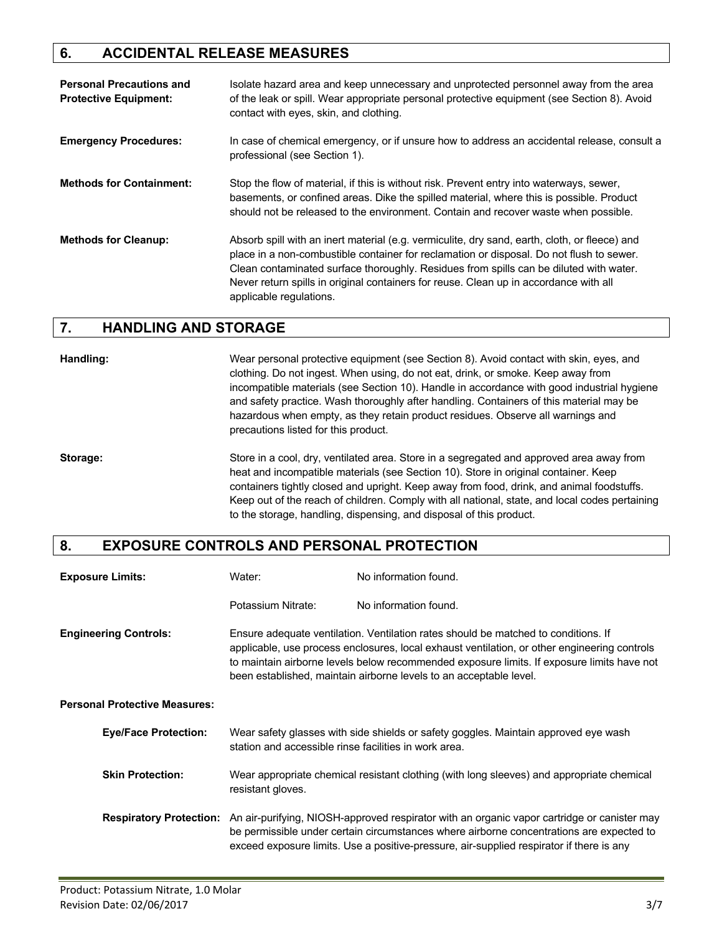# **6. ACCIDENTAL RELEASE MEASURES**

| <b>Personal Precautions and</b><br><b>Protective Equipment:</b> | Isolate hazard area and keep unnecessary and unprotected personnel away from the area<br>of the leak or spill. Wear appropriate personal protective equipment (see Section 8). Avoid<br>contact with eyes, skin, and clothing.                                                                                                                                                                          |
|-----------------------------------------------------------------|---------------------------------------------------------------------------------------------------------------------------------------------------------------------------------------------------------------------------------------------------------------------------------------------------------------------------------------------------------------------------------------------------------|
| <b>Emergency Procedures:</b>                                    | In case of chemical emergency, or if unsure how to address an accidental release, consult a<br>professional (see Section 1).                                                                                                                                                                                                                                                                            |
| <b>Methods for Containment:</b>                                 | Stop the flow of material, if this is without risk. Prevent entry into waterways, sewer,<br>basements, or confined areas. Dike the spilled material, where this is possible. Product<br>should not be released to the environment. Contain and recover waste when possible.                                                                                                                             |
| <b>Methods for Cleanup:</b>                                     | Absorb spill with an inert material (e.g. vermiculite, dry sand, earth, cloth, or fleece) and<br>place in a non-combustible container for reclamation or disposal. Do not flush to sewer.<br>Clean contaminated surface thoroughly. Residues from spills can be diluted with water.<br>Never return spills in original containers for reuse. Clean up in accordance with all<br>applicable regulations. |

# **7. HANDLING AND STORAGE**

**Handling:** Wear personal protective equipment (see Section 8). Avoid contact with skin, eyes, and clothing. Do not ingest. When using, do not eat, drink, or smoke. Keep away from incompatible materials (see Section 10). Handle in accordance with good industrial hygiene and safety practice. Wash thoroughly after handling. Containers of this material may be hazardous when empty, as they retain product residues. Observe all warnings and precautions listed for this product.

**Storage:** Store in a cool, dry, ventilated area. Store in a segregated and approved area away from heat and incompatible materials (see Section 10). Store in original container. Keep containers tightly closed and upright. Keep away from food, drink, and animal foodstuffs. Keep out of the reach of children. Comply with all national, state, and local codes pertaining to the storage, handling, dispensing, and disposal of this product.

#### **8. EXPOSURE CONTROLS AND PERSONAL PROTECTION**

| <b>Exposure Limits:</b>              | Water:                                                                                                                                                                                                                                                                                                                                                 | No information found.                                                                                                                                                                                                                                                               |
|--------------------------------------|--------------------------------------------------------------------------------------------------------------------------------------------------------------------------------------------------------------------------------------------------------------------------------------------------------------------------------------------------------|-------------------------------------------------------------------------------------------------------------------------------------------------------------------------------------------------------------------------------------------------------------------------------------|
|                                      | Potassium Nitrate:                                                                                                                                                                                                                                                                                                                                     | No information found.                                                                                                                                                                                                                                                               |
| <b>Engineering Controls:</b>         | Ensure adequate ventilation. Ventilation rates should be matched to conditions. If<br>applicable, use process enclosures, local exhaust ventilation, or other engineering controls<br>to maintain airborne levels below recommended exposure limits. If exposure limits have not<br>been established, maintain airborne levels to an acceptable level. |                                                                                                                                                                                                                                                                                     |
| <b>Personal Protective Measures:</b> |                                                                                                                                                                                                                                                                                                                                                        |                                                                                                                                                                                                                                                                                     |
| <b>Eye/Face Protection:</b>          | station and accessible rinse facilities in work area.                                                                                                                                                                                                                                                                                                  | Wear safety glasses with side shields or safety goggles. Maintain approved eye wash                                                                                                                                                                                                 |
| <b>Skin Protection:</b>              | resistant gloves.                                                                                                                                                                                                                                                                                                                                      | Wear appropriate chemical resistant clothing (with long sleeves) and appropriate chemical                                                                                                                                                                                           |
| <b>Respiratory Protection:</b>       |                                                                                                                                                                                                                                                                                                                                                        | An air-purifying, NIOSH-approved respirator with an organic vapor cartridge or canister may<br>be permissible under certain circumstances where airborne concentrations are expected to<br>exceed exposure limits. Use a positive-pressure, air-supplied respirator if there is any |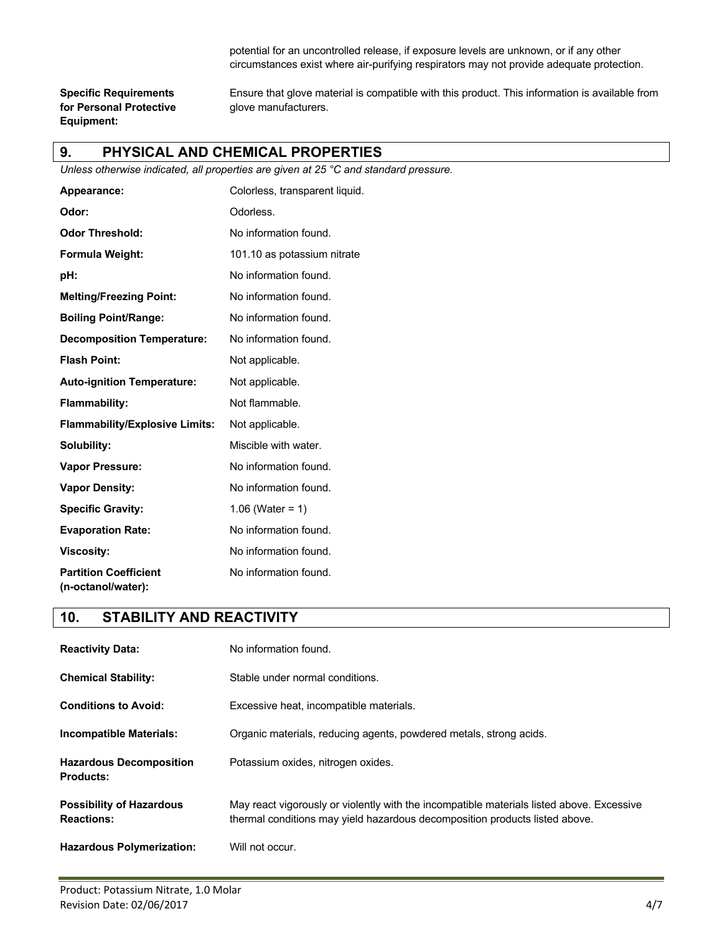potential for an uncontrolled release, if exposure levels are unknown, or if any other circumstances exist where air-purifying respirators may not provide adequate protection.

**for Personal Protective glove manufacturers. Equipment:**

**Specific Requirements** Ensure that glove material is compatible with this product. This information is available from

#### **9. PHYSICAL AND CHEMICAL PROPERTIES**

*Unless otherwise indicated, all properties are given at 25 °C and standard pressure.*

| Appearance:                                        | Colorless, transparent liquid. |
|----------------------------------------------------|--------------------------------|
| Odor:                                              | Odorless.                      |
| <b>Odor Threshold:</b>                             | No information found.          |
| Formula Weight:                                    | 101.10 as potassium nitrate    |
| pH:                                                | No information found.          |
| <b>Melting/Freezing Point:</b>                     | No information found.          |
| <b>Boiling Point/Range:</b>                        | No information found.          |
| <b>Decomposition Temperature:</b>                  | No information found.          |
| <b>Flash Point:</b>                                | Not applicable.                |
| <b>Auto-ignition Temperature:</b>                  | Not applicable.                |
| Flammability:                                      | Not flammable.                 |
| <b>Flammability/Explosive Limits:</b>              | Not applicable.                |
| Solubility:                                        | Miscible with water.           |
| <b>Vapor Pressure:</b>                             | No information found.          |
| <b>Vapor Density:</b>                              | No information found.          |
| <b>Specific Gravity:</b>                           | 1.06 (Water = 1)               |
| <b>Evaporation Rate:</b>                           | No information found.          |
| <b>Viscosity:</b>                                  | No information found.          |
| <b>Partition Coefficient</b><br>(n-octanol/water): | No information found.          |

# **10. STABILITY AND REACTIVITY**

| <b>Reactivity Data:</b>                              | No information found.                                                                                                                                                    |
|------------------------------------------------------|--------------------------------------------------------------------------------------------------------------------------------------------------------------------------|
| <b>Chemical Stability:</b>                           | Stable under normal conditions.                                                                                                                                          |
| <b>Conditions to Avoid:</b>                          | Excessive heat, incompatible materials.                                                                                                                                  |
| Incompatible Materials:                              | Organic materials, reducing agents, powdered metals, strong acids.                                                                                                       |
| <b>Hazardous Decomposition</b><br><b>Products:</b>   | Potassium oxides, nitrogen oxides.                                                                                                                                       |
| <b>Possibility of Hazardous</b><br><b>Reactions:</b> | May react vigorously or violently with the incompatible materials listed above. Excessive<br>thermal conditions may yield hazardous decomposition products listed above. |
| <b>Hazardous Polymerization:</b>                     | Will not occur.                                                                                                                                                          |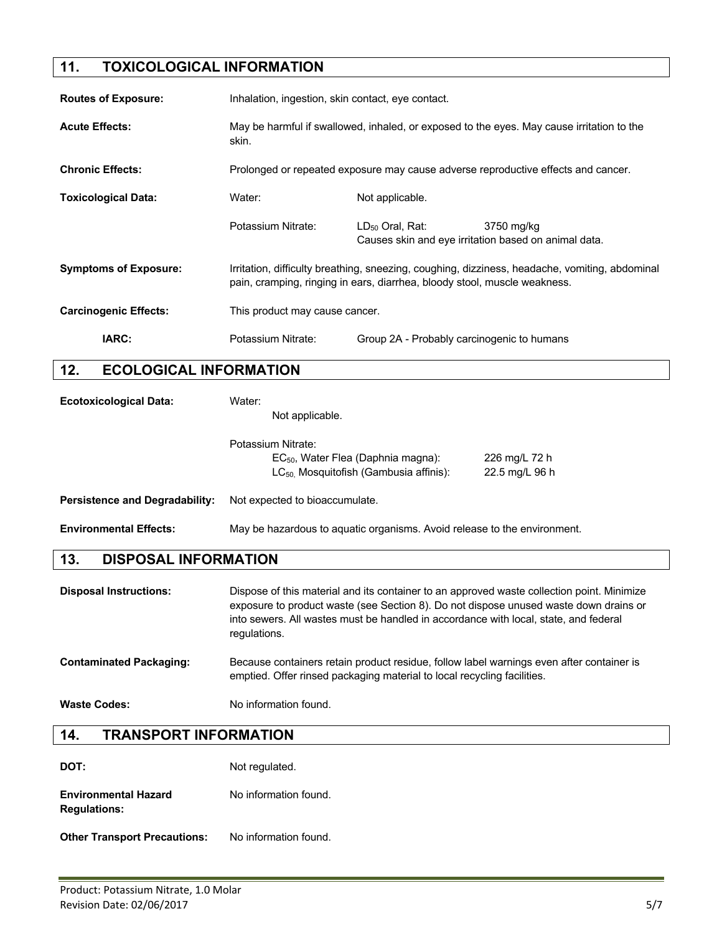# **11. TOXICOLOGICAL INFORMATION**

| <b>Routes of Exposure:</b>   |                               | Inhalation, ingestion, skin contact, eye contact.                                                                                                                           |                                                                              |            |
|------------------------------|-------------------------------|-----------------------------------------------------------------------------------------------------------------------------------------------------------------------------|------------------------------------------------------------------------------|------------|
| <b>Acute Effects:</b>        |                               | May be harmful if swallowed, inhaled, or exposed to the eyes. May cause irritation to the<br>skin.                                                                          |                                                                              |            |
| <b>Chronic Effects:</b>      |                               | Prolonged or repeated exposure may cause adverse reproductive effects and cancer.                                                                                           |                                                                              |            |
| <b>Toxicological Data:</b>   |                               | Water:                                                                                                                                                                      | Not applicable.                                                              |            |
|                              |                               | Potassium Nitrate:                                                                                                                                                          | $LD_{50}$ Oral, Rat:<br>Causes skin and eye irritation based on animal data. | 3750 mg/kg |
| <b>Symptoms of Exposure:</b> |                               | Irritation, difficulty breathing, sneezing, coughing, dizziness, headache, vomiting, abdominal<br>pain, cramping, ringing in ears, diarrhea, bloody stool, muscle weakness. |                                                                              |            |
| <b>Carcinogenic Effects:</b> |                               | This product may cause cancer.                                                                                                                                              |                                                                              |            |
| IARC:                        |                               | Potassium Nitrate:                                                                                                                                                          | Group 2A - Probably carcinogenic to humans                                   |            |
| 12.                          | <b>ECOLOGICAL INFORMATION</b> |                                                                                                                                                                             |                                                                              |            |

| <b>Ecotoxicological Data:</b>         | Water:<br>Not applicable.                                                                                          |                                 |
|---------------------------------------|--------------------------------------------------------------------------------------------------------------------|---------------------------------|
|                                       | Potassium Nitrate:<br>$EC_{50}$ , Water Flea (Daphnia magna):<br>LC <sub>50</sub> Mosquitofish (Gambusia affinis): | 226 mg/L 72 h<br>22.5 mg/L 96 h |
| <b>Persistence and Degradability:</b> | Not expected to bioaccumulate.                                                                                     |                                 |
| <b>Environmental Effects:</b>         | May be hazardous to aquatic organisms. Avoid release to the environment.                                           |                                 |

# **13. DISPOSAL INFORMATION**

| <b>Disposal Instructions:</b>  | Dispose of this material and its container to an approved waste collection point. Minimize<br>exposure to product waste (see Section 8). Do not dispose unused waste down drains or<br>into sewers. All wastes must be handled in accordance with local, state, and federal<br>regulations. |
|--------------------------------|---------------------------------------------------------------------------------------------------------------------------------------------------------------------------------------------------------------------------------------------------------------------------------------------|
| <b>Contaminated Packaging:</b> | Because containers retain product residue, follow label warnings even after container is<br>emptied. Offer rinsed packaging material to local recycling facilities.                                                                                                                         |
| <b>Waste Codes:</b>            | No information found.                                                                                                                                                                                                                                                                       |

# **14. TRANSPORT INFORMATION**

| DOT:                                               | Not regulated.        |
|----------------------------------------------------|-----------------------|
| <b>Environmental Hazard</b><br><b>Regulations:</b> | No information found. |

**Other Transport Precautions:** No information found.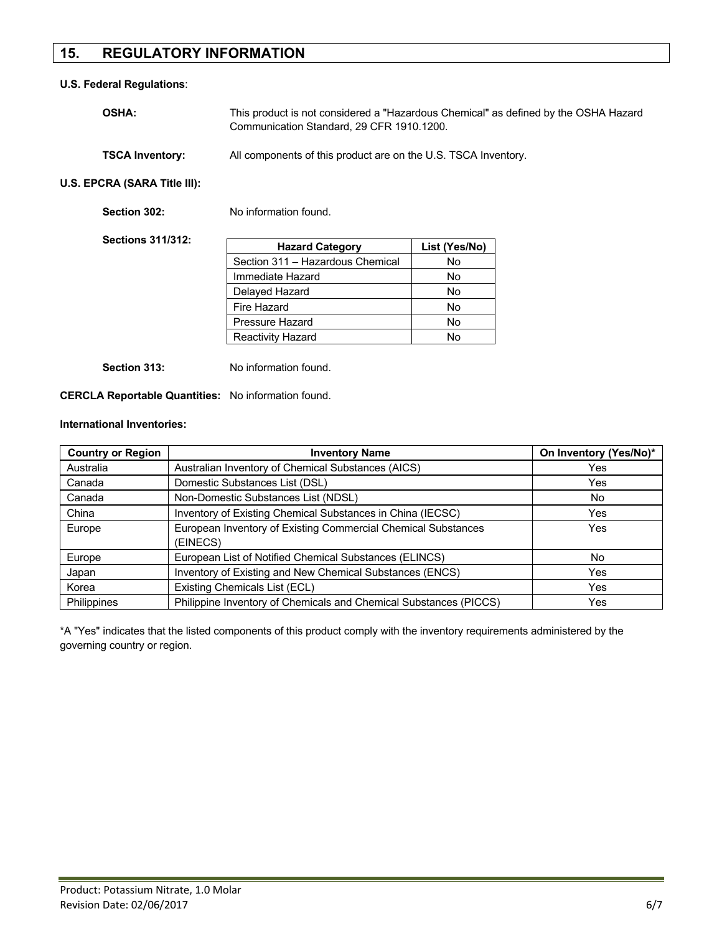# **15. REGULATORY INFORMATION**

#### **U.S. Federal Regulations**:

| <b>OSHA:</b>           | This product is not considered a "Hazardous Chemical" as defined by the OSHA Hazard<br>Communication Standard, 29 CFR 1910.1200. |  |
|------------------------|----------------------------------------------------------------------------------------------------------------------------------|--|
| <b>TSCA Inventory:</b> | All components of this product are on the U.S. TSCA Inventory.                                                                   |  |

**U.S. EPCRA (SARA Title III):**

| Section 302:             | No information found.            |               |
|--------------------------|----------------------------------|---------------|
| <b>Sections 311/312:</b> | <b>Hazard Category</b>           | List (Yes/No) |
|                          | Section 311 - Hazardous Chemical | No            |
|                          | Immediate Hazard                 | No            |
|                          | Delayed Hazard                   | No            |
|                          | Fire Hazard                      | No            |
|                          | Pressure Hazard                  | No            |
|                          | <b>Reactivity Hazard</b>         | No            |
|                          |                                  |               |

**Section 313:** No information found.

**CERCLA Reportable Quantities:** No information found.

#### **International Inventories:**

| <b>Country or Region</b> | <b>Inventory Name</b>                                             | On Inventory (Yes/No)* |
|--------------------------|-------------------------------------------------------------------|------------------------|
| Australia                | Australian Inventory of Chemical Substances (AICS)                | Yes                    |
| Canada                   | Domestic Substances List (DSL)                                    | Yes                    |
| Canada                   | Non-Domestic Substances List (NDSL)                               | No                     |
| China                    | Inventory of Existing Chemical Substances in China (IECSC)        | Yes                    |
| Europe                   | European Inventory of Existing Commercial Chemical Substances     | Yes                    |
|                          | (EINECS)                                                          |                        |
| Europe                   | European List of Notified Chemical Substances (ELINCS)            | No.                    |
| Japan                    | Inventory of Existing and New Chemical Substances (ENCS)          | Yes                    |
| Korea                    | Existing Chemicals List (ECL)                                     | Yes                    |
| <b>Philippines</b>       | Philippine Inventory of Chemicals and Chemical Substances (PICCS) | Yes                    |

\*A "Yes" indicates that the listed components of this product comply with the inventory requirements administered by the governing country or region.